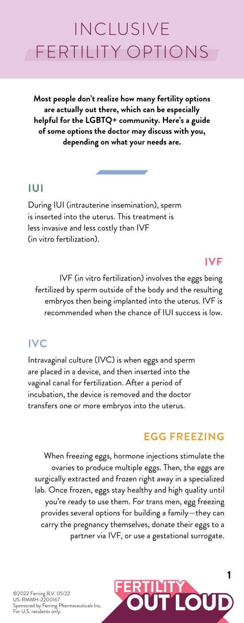**Most people don't realize how many fertility options are actually out there, which can be especially helpful for the LGBTQ+ community. Here's a guide of some options the doctor may discuss with you, depending on what your needs are.**

©2022 Ferring B.V. 05/22 US-RMMH-2200167 Sponsored by Ferring Pharmaceuticals Inc. For U.S. residents only.



#### **IUI**

During IUI (intrauterine insemination), sperm is inserted into the uterus. This treatment is less invasive and less costly than IVF (in vitro fertilization).

## **IVC**

Intravaginal culture (IVC) is when eggs and sperm are placed in a device, and then inserted into the vaginal canal for fertilization. After a period of incubation, the device is removed and the doctor transfers one or more embryos into the uterus.

# **IVF**

IVF (in vitro fertilization) involves the eggs being fertilized by sperm outside of the body and the resulting embryos then being implanted into the uterus. IVF is recommended when the chance of IUI success is low.

# INCLUSIVE FERTILITY OPTIONS

## **EGG FREEZING**

When freezing eggs, hormone injections stimulate the ovaries to produce multiple eggs. Then, the eggs are surgically extracted and frozen right away in a specialized lab. Once frozen, eggs stay healthy and high quality until you're ready to use them. For trans men, egg freezing provides several options for building a family—they can carry the pregnancy themselves, donate their eggs to a partner via IVF, or use a gestational surrogate.